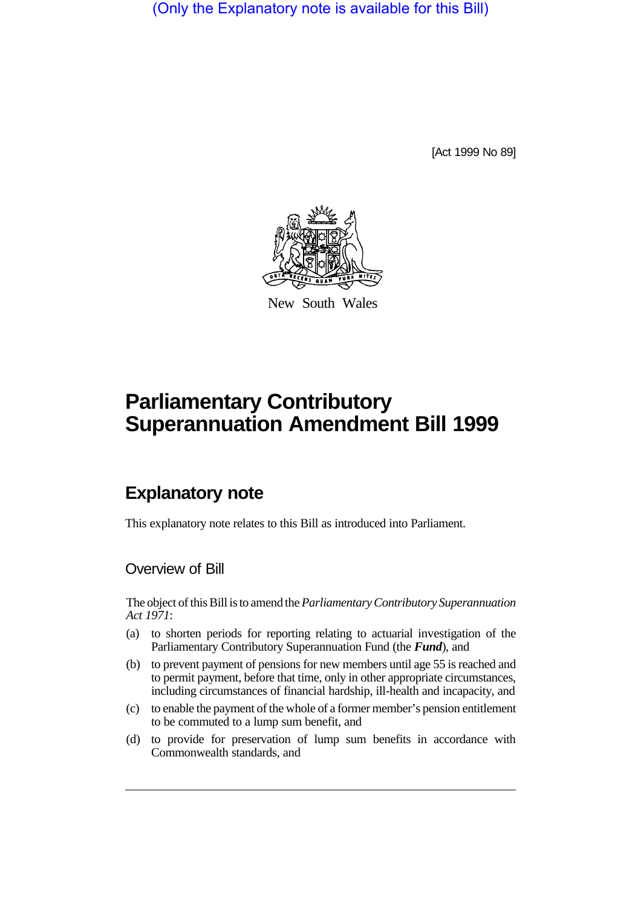(Only the Explanatory note is available for this Bill)

[Act 1999 No 89]



New South Wales

# **Parliamentary Contributory Superannuation Amendment Bill 1999**

## **Explanatory note**

This explanatory note relates to this Bill as introduced into Parliament.

#### Overview of Bill

The object of this Bill is to amend the *Parliamentary Contributory Superannuation Act 1971*:

- (a) to shorten periods for reporting relating to actuarial investigation of the Parliamentary Contributory Superannuation Fund (the *Fund*), and
- (b) to prevent payment of pensions for new members until age 55 is reached and to permit payment, before that time, only in other appropriate circumstances, including circumstances of financial hardship, ill-health and incapacity, and
- (c) to enable the payment of the whole of a former member's pension entitlement to be commuted to a lump sum benefit, and
- (d) to provide for preservation of lump sum benefits in accordance with Commonwealth standards, and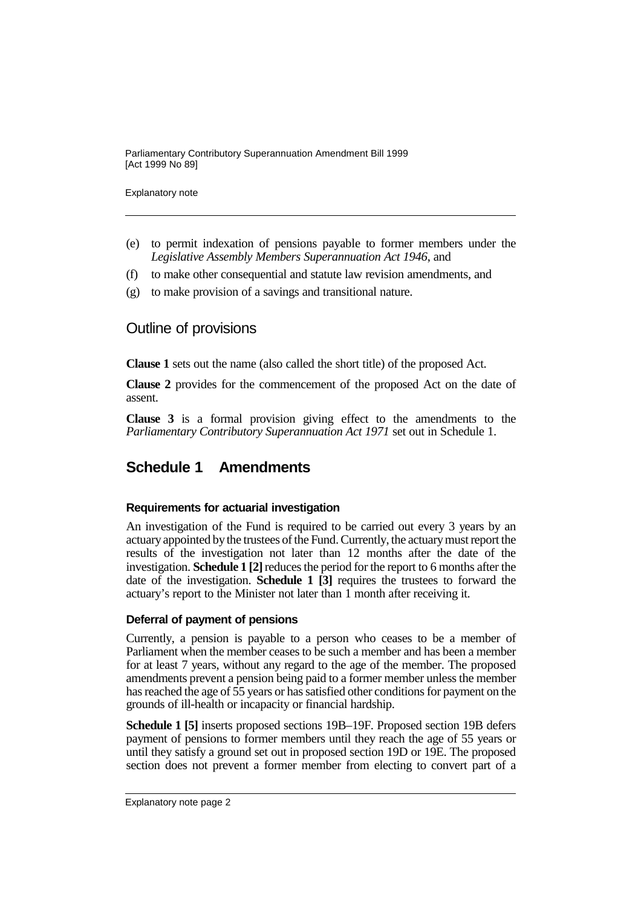Explanatory note

- (e) to permit indexation of pensions payable to former members under the *Legislative Assembly Members Superannuation Act 1946*, and
- (f) to make other consequential and statute law revision amendments, and
- (g) to make provision of a savings and transitional nature.

### Outline of provisions

**Clause 1** sets out the name (also called the short title) of the proposed Act.

**Clause 2** provides for the commencement of the proposed Act on the date of assent.

**Clause 3** is a formal provision giving effect to the amendments to the *Parliamentary Contributory Superannuation Act 1971* set out in Schedule 1.

## **Schedule 1 Amendments**

#### **Requirements for actuarial investigation**

An investigation of the Fund is required to be carried out every 3 years by an actuary appointed by the trustees of the Fund. Currently, the actuary must report the results of the investigation not later than 12 months after the date of the investigation. **Schedule 1 [2]** reduces the period for the report to 6 months after the date of the investigation. **Schedule 1 [3]** requires the trustees to forward the actuary's report to the Minister not later than 1 month after receiving it.

#### **Deferral of payment of pensions**

Currently, a pension is payable to a person who ceases to be a member of Parliament when the member ceases to be such a member and has been a member for at least 7 years, without any regard to the age of the member. The proposed amendments prevent a pension being paid to a former member unless the member has reached the age of 55 years or has satisfied other conditions for payment on the grounds of ill-health or incapacity or financial hardship.

**Schedule 1 [5]** inserts proposed sections 19B–19F. Proposed section 19B defers payment of pensions to former members until they reach the age of 55 years or until they satisfy a ground set out in proposed section 19D or 19E. The proposed section does not prevent a former member from electing to convert part of a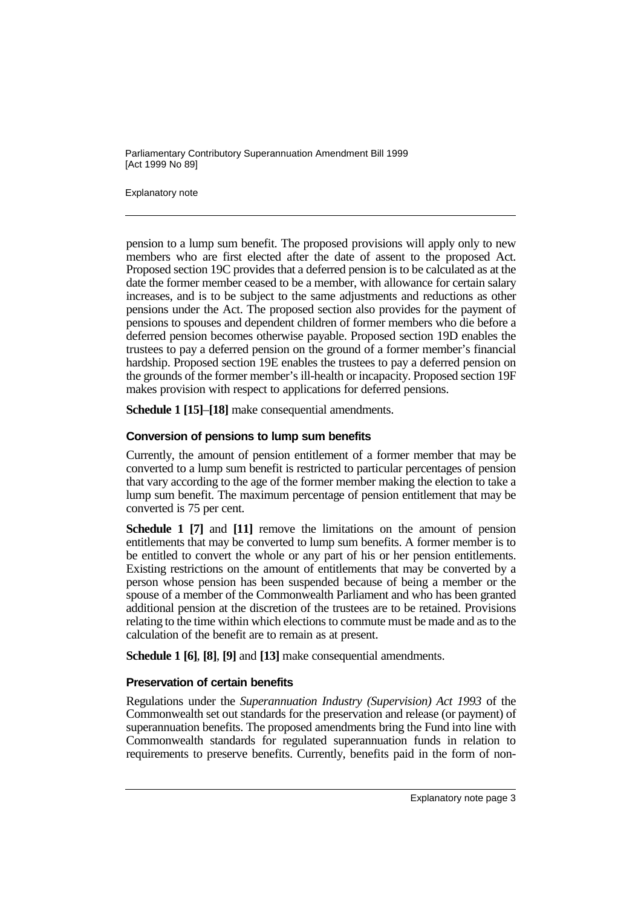Explanatory note

pension to a lump sum benefit. The proposed provisions will apply only to new members who are first elected after the date of assent to the proposed Act. Proposed section 19C provides that a deferred pension is to be calculated as at the date the former member ceased to be a member, with allowance for certain salary increases, and is to be subject to the same adjustments and reductions as other pensions under the Act. The proposed section also provides for the payment of pensions to spouses and dependent children of former members who die before a deferred pension becomes otherwise payable. Proposed section 19D enables the trustees to pay a deferred pension on the ground of a former member's financial hardship. Proposed section 19E enables the trustees to pay a deferred pension on the grounds of the former member's ill-health or incapacity. Proposed section 19F makes provision with respect to applications for deferred pensions.

**Schedule 1 [15]**–**[18]** make consequential amendments.

#### **Conversion of pensions to lump sum benefits**

Currently, the amount of pension entitlement of a former member that may be converted to a lump sum benefit is restricted to particular percentages of pension that vary according to the age of the former member making the election to take a lump sum benefit. The maximum percentage of pension entitlement that may be converted is 75 per cent.

**Schedule 1 [7]** and **[11]** remove the limitations on the amount of pension entitlements that may be converted to lump sum benefits. A former member is to be entitled to convert the whole or any part of his or her pension entitlements. Existing restrictions on the amount of entitlements that may be converted by a person whose pension has been suspended because of being a member or the spouse of a member of the Commonwealth Parliament and who has been granted additional pension at the discretion of the trustees are to be retained. Provisions relating to the time within which elections to commute must be made and as to the calculation of the benefit are to remain as at present.

**Schedule 1 [6]**, **[8]**, **[9]** and **[13]** make consequential amendments.

#### **Preservation of certain benefits**

Regulations under the *Superannuation Industry (Supervision) Act 1993* of the Commonwealth set out standards for the preservation and release (or payment) of superannuation benefits. The proposed amendments bring the Fund into line with Commonwealth standards for regulated superannuation funds in relation to requirements to preserve benefits. Currently, benefits paid in the form of non-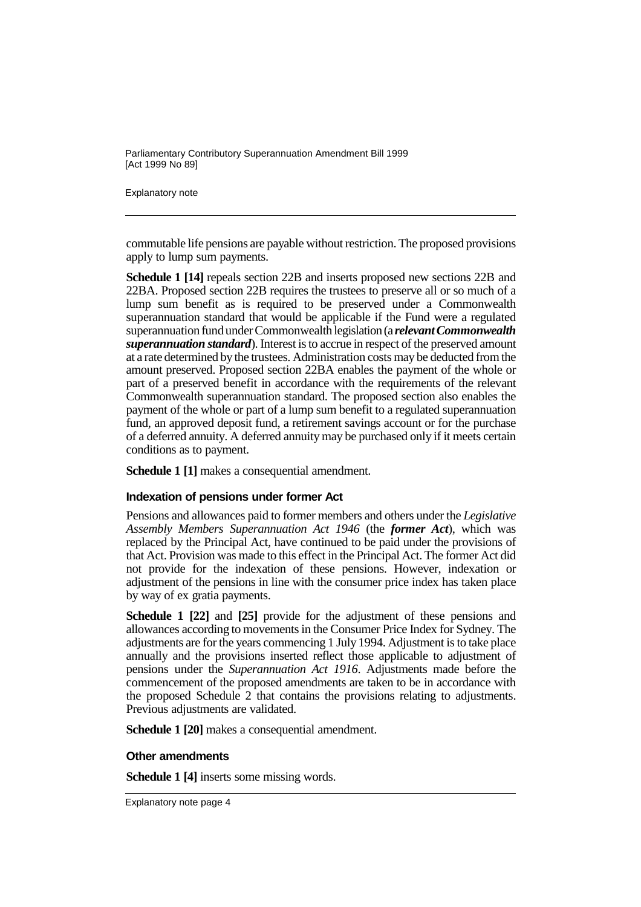Explanatory note

commutable life pensions are payable without restriction. The proposed provisions apply to lump sum payments.

**Schedule 1 [14]** repeals section 22B and inserts proposed new sections 22B and 22BA. Proposed section 22B requires the trustees to preserve all or so much of a lump sum benefit as is required to be preserved under a Commonwealth superannuation standard that would be applicable if the Fund were a regulated superannuation fund under Commonwealth legislation (a *relevant Commonwealth superannuation standard*). Interest is to accrue in respect of the preserved amount at a rate determined by the trustees. Administration costs may be deducted from the amount preserved. Proposed section 22BA enables the payment of the whole or part of a preserved benefit in accordance with the requirements of the relevant Commonwealth superannuation standard. The proposed section also enables the payment of the whole or part of a lump sum benefit to a regulated superannuation fund, an approved deposit fund, a retirement savings account or for the purchase of a deferred annuity. A deferred annuity may be purchased only if it meets certain conditions as to payment.

**Schedule 1 [1]** makes a consequential amendment.

#### **Indexation of pensions under former Act**

Pensions and allowances paid to former members and others under the *Legislative Assembly Members Superannuation Act 1946* (the *former Act*), which was replaced by the Principal Act, have continued to be paid under the provisions of that Act. Provision was made to this effect in the Principal Act. The former Act did not provide for the indexation of these pensions. However, indexation or adjustment of the pensions in line with the consumer price index has taken place by way of ex gratia payments.

**Schedule 1 [22]** and **[25]** provide for the adjustment of these pensions and allowances according to movements in the Consumer Price Index for Sydney. The adjustments are for the years commencing 1 July 1994. Adjustment is to take place annually and the provisions inserted reflect those applicable to adjustment of pensions under the *Superannuation Act 1916*. Adjustments made before the commencement of the proposed amendments are taken to be in accordance with the proposed Schedule 2 that contains the provisions relating to adjustments. Previous adjustments are validated.

**Schedule 1 [20]** makes a consequential amendment.

#### **Other amendments**

**Schedule 1 [4]** inserts some missing words.